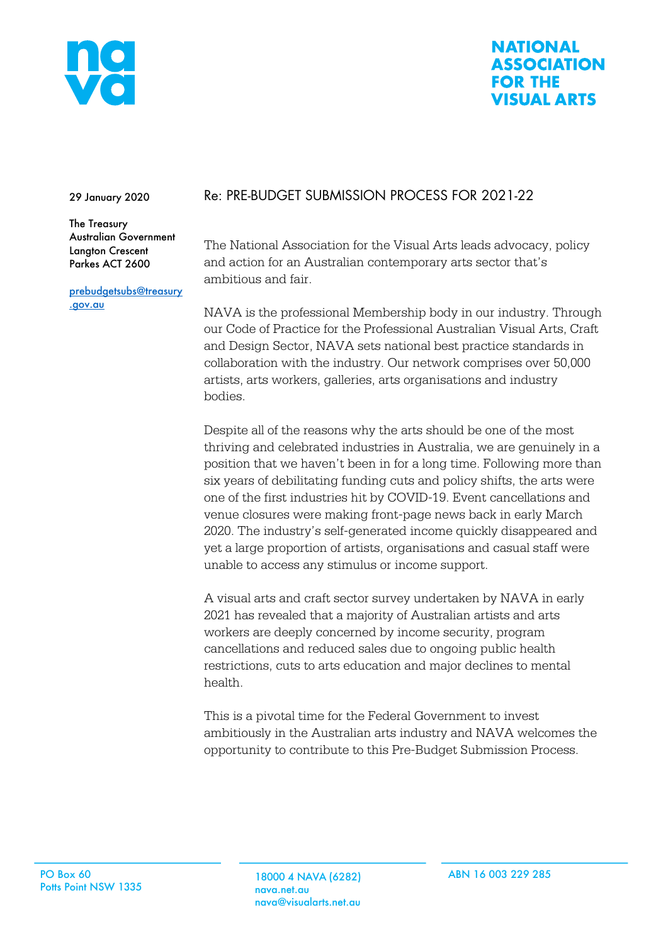

#### **NATIONAL ASSOCIATION FOR THE VISUAL ARTS**

29 January 2020

The Treasury Australian Government Langton Crescent Parkes ACT 2600

prebudgetsubs@treasury .gov.au

# Re: PRE-BUDGET SUBMISSION PROCESS FOR 2021-22

The National Association for the Visual Arts leads advocacy, policy and action for an Australian contemporary arts sector that's ambitious and fair.

NAVA is the professional Membership body in our industry. Through our Code of Practice for the Professional Australian Visual Arts, Craft and Design Sector, NAVA sets national best practice standards in collaboration with the industry. Our network comprises over 50,000 artists, arts workers, galleries, arts organisations and industry bodies.

Despite all of the reasons why the arts should be one of the most thriving and celebrated industries in Australia, we are genuinely in a position that we haven't been in for a long time. Following more than six years of debilitating funding cuts and policy shifts, the arts were one of the first industries hit by COVID-19. Event cancellations and venue closures were making front-page news back in early March 2020. The industry's self-generated income quickly disappeared and yet a large proportion of artists, organisations and casual staff were unable to access any stimulus or income support.

A visual arts and craft sector survey undertaken by NAVA in early 2021 has revealed that a majority of Australian artists and arts workers are deeply concerned by income security, program cancellations and reduced sales due to ongoing public health restrictions, cuts to arts education and major declines to mental health.

This is a pivotal time for the Federal Government to invest ambitiously in the Australian arts industry and NAVA welcomes the opportunity to contribute to this Pre-Budget Submission Process.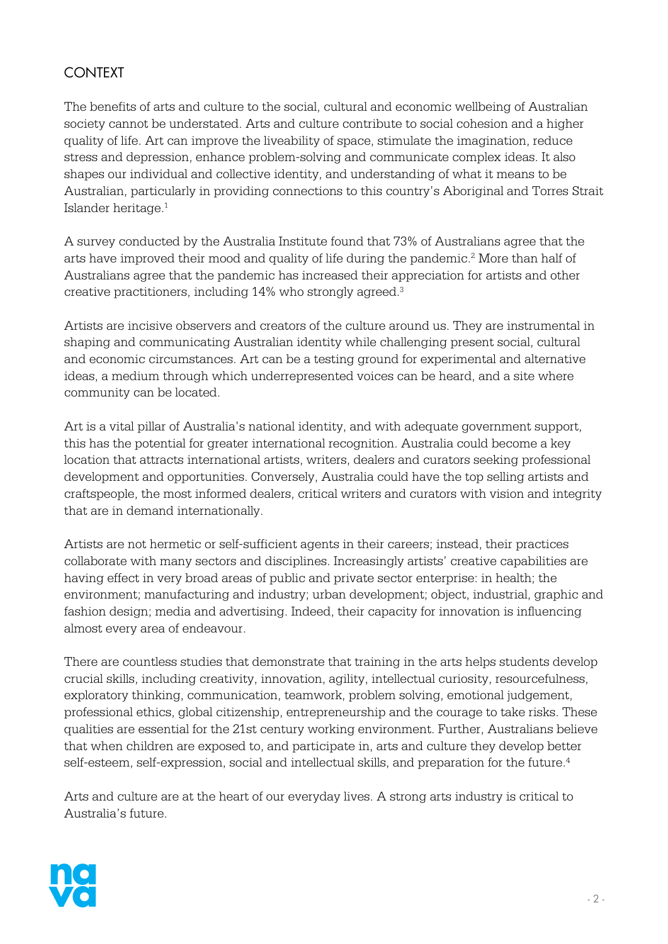# **CONTEXT**

The benefits of arts and culture to the social, cultural and economic wellbeing of Australian society cannot be understated. Arts and culture contribute to social cohesion and a higher quality of life. Art can improve the liveability of space, stimulate the imagination, reduce stress and depression, enhance problem-solving and communicate complex ideas. It also shapes our individual and collective identity, and understanding of what it means to be Australian, particularly in providing connections to this country's Aboriginal and Torres Strait Islander heritage.1

A survey conducted by the Australia Institute found that 73% of Australians agree that the arts have improved their mood and quality of life during the pandemic.<sup>2</sup> More than half of Australians agree that the pandemic has increased their appreciation for artists and other creative practitioners, including 14% who strongly agreed.3

Artists are incisive observers and creators of the culture around us. They are instrumental in shaping and communicating Australian identity while challenging present social, cultural and economic circumstances. Art can be a testing ground for experimental and alternative ideas, a medium through which underrepresented voices can be heard, and a site where community can be located.

Art is a vital pillar of Australia's national identity, and with adequate government support, this has the potential for greater international recognition. Australia could become a key location that attracts international artists, writers, dealers and curators seeking professional development and opportunities. Conversely, Australia could have the top selling artists and craftspeople, the most informed dealers, critical writers and curators with vision and integrity that are in demand internationally.

Artists are not hermetic or self-sufficient agents in their careers; instead, their practices collaborate with many sectors and disciplines. Increasingly artists' creative capabilities are having effect in very broad areas of public and private sector enterprise: in health; the environment; manufacturing and industry; urban development; object, industrial, graphic and fashion design; media and advertising. Indeed, their capacity for innovation is influencing almost every area of endeavour.

There are countless studies that demonstrate that training in the arts helps students develop crucial skills, including creativity, innovation, agility, intellectual curiosity, resourcefulness, exploratory thinking, communication, teamwork, problem solving, emotional judgement, professional ethics, global citizenship, entrepreneurship and the courage to take risks. These qualities are essential for the 21st century working environment. Further, Australians believe that when children are exposed to, and participate in, arts and culture they develop better self-esteem, self-expression, social and intellectual skills, and preparation for the future.<sup>4</sup>

Arts and culture are at the heart of our everyday lives. A strong arts industry is critical to Australia's future.

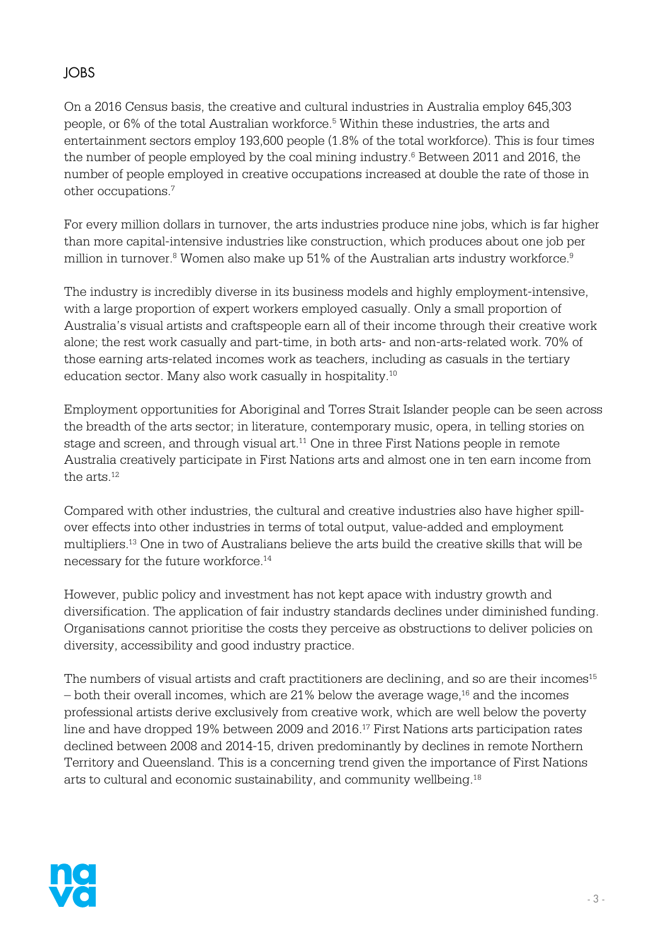# JOBS

On a 2016 Census basis, the creative and cultural industries in Australia employ 645,303 people, or 6% of the total Australian workforce.5 Within these industries, the arts and entertainment sectors employ 193,600 people (1.8% of the total workforce). This is four times the number of people employed by the coal mining industry.<sup>6</sup> Between 2011 and 2016, the number of people employed in creative occupations increased at double the rate of those in other occupations.7

For every million dollars in turnover, the arts industries produce nine jobs, which is far higher than more capital-intensive industries like construction, which produces about one job per million in turnover.<sup>8</sup> Women also make up 51% of the Australian arts industry workforce.<sup>9</sup>

The industry is incredibly diverse in its business models and highly employment-intensive, with a large proportion of expert workers employed casually. Only a small proportion of Australia's visual artists and craftspeople earn all of their income through their creative work alone; the rest work casually and part-time, in both arts- and non-arts-related work. 70% of those earning arts-related incomes work as teachers, including as casuals in the tertiary education sector. Many also work casually in hospitality.10 

Employment opportunities for Aboriginal and Torres Strait Islander people can be seen across the breadth of the arts sector; in literature, contemporary music, opera, in telling stories on stage and screen, and through visual art.<sup>11</sup> One in three First Nations people in remote Australia creatively participate in First Nations arts and almost one in ten earn income from the arts.<sup>12</sup>

Compared with other industries, the cultural and creative industries also have higher spillover effects into other industries in terms of total output, value-added and employment multipliers.13 One in two of Australians believe the arts build the creative skills that will be necessary for the future workforce.14

However, public policy and investment has not kept apace with industry growth and diversification. The application of fair industry standards declines under diminished funding. Organisations cannot prioritise the costs they perceive as obstructions to deliver policies on diversity, accessibility and good industry practice.

The numbers of visual artists and craft practitioners are declining, and so are their incomes<sup>15</sup>  $-$  both their overall incomes, which are 21% below the average wage,<sup>16</sup> and the incomes professional artists derive exclusively from creative work, which are well below the poverty line and have dropped 19% between 2009 and 2016.<sup>17</sup> First Nations arts participation rates declined between 2008 and 2014-15, driven predominantly by declines in remote Northern Territory and Queensland. This is a concerning trend given the importance of First Nations arts to cultural and economic sustainability, and community wellbeing.18

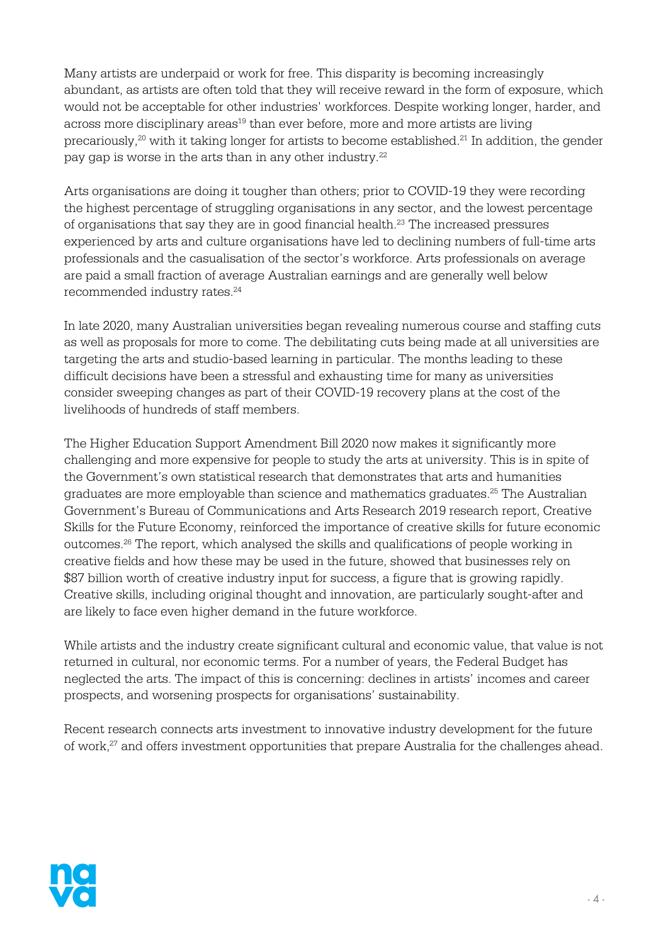Many artists are underpaid or work for free. This disparity is becoming increasingly abundant, as artists are often told that they will receive reward in the form of exposure, which would not be acceptable for other industries' workforces. Despite working longer, harder, and across more disciplinary areas<sup>19</sup> than ever before, more and more artists are living precariously,<sup>20</sup> with it taking longer for artists to become established.<sup>21</sup> In addition, the gender pay gap is worse in the arts than in any other industry.<sup>22</sup>

Arts organisations are doing it tougher than others; prior to COVID-19 they were recording the highest percentage of struggling organisations in any sector, and the lowest percentage of organisations that say they are in good financial health. <sup>23</sup> The increased pressures experienced by arts and culture organisations have led to declining numbers of full-time arts professionals and the casualisation of the sector's workforce. Arts professionals on average are paid a small fraction of average Australian earnings and are generally well below recommended industry rates. 24

In late 2020, many Australian universities began revealing numerous course and staffing cuts as well as proposals for more to come. The debilitating cuts being made at all universities are targeting the arts and studio-based learning in particular. The months leading to these difficult decisions have been a stressful and exhausting time for many as universities consider sweeping changes as part of their COVID-19 recovery plans at the cost of the livelihoods of hundreds of staff members.

The Higher Education Support Amendment Bill 2020 now makes it significantly more challenging and more expensive for people to study the arts at university. This is in spite of the Government's own statistical research that demonstrates that arts and humanities graduates are more employable than science and mathematics graduates. <sup>25</sup> The Australian Government's Bureau of Communications and Arts Research 2019 research report, Creative Skills for the Future Economy, reinforced the importance of creative skills for future economic outcomes. <sup>26</sup> The report, which analysed the skills and qualifications of people working in creative fields and how these may be used in the future, showed that businesses rely on \$87 billion worth of creative industry input for success, a figure that is growing rapidly. Creative skills, including original thought and innovation, are particularly sought-after and are likely to face even higher demand in the future workforce.

While artists and the industry create significant cultural and economic value, that value is not returned in cultural, nor economic terms. For a number of years, the Federal Budget has neglected the arts. The impact of this is concerning: declines in artists' incomes and career prospects, and worsening prospects for organisations' sustainability.

Recent research connects arts investment to innovative industry development for the future of work,<sup>27</sup> and offers investment opportunities that prepare Australia for the challenges ahead.

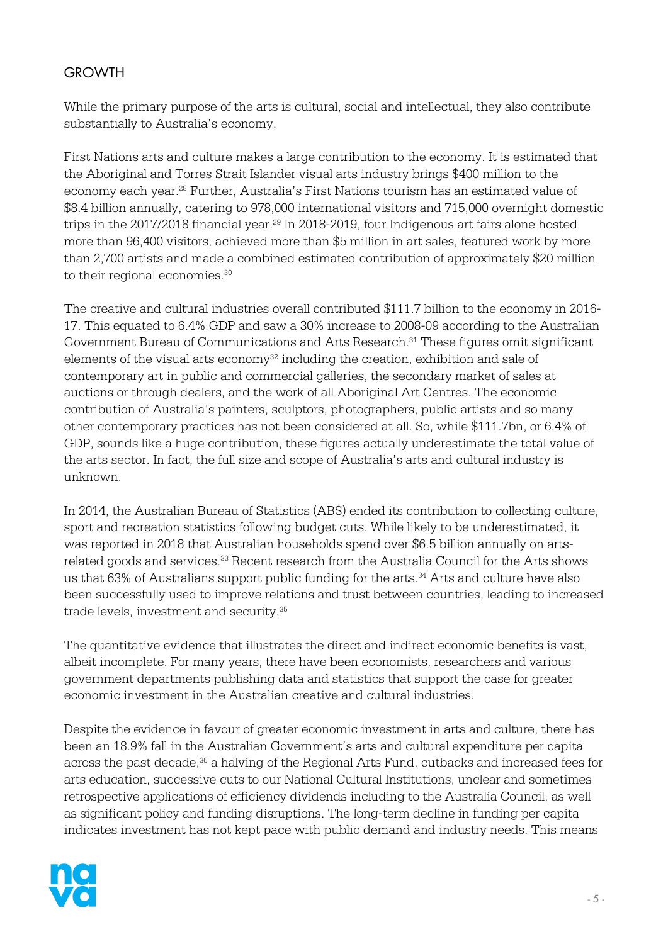## **GROWTH**

While the primary purpose of the arts is cultural, social and intellectual, they also contribute substantially to Australia's economy.

First Nations arts and culture makes a large contribution to the economy. It is estimated that the Aboriginal and Torres Strait Islander visual arts industry brings \$400 million to the economy each year.28 Further, Australia's First Nations tourism has an estimated value of \$8.4 billion annually, catering to 978,000 international visitors and 715,000 overnight domestic trips in the 2017/2018 financial year.<sup>29</sup> In 2018-2019, four Indigenous art fairs alone hosted more than 96,400 visitors, achieved more than \$5 million in art sales, featured work by more than 2,700 artists and made a combined estimated contribution of approximately \$20 million to their regional economies.<sup>30</sup>

The creative and cultural industries overall contributed \$111.7 billion to the economy in 2016- 17. This equated to 6.4% GDP and saw a 30% increase to 2008-09 according to the Australian Government Bureau of Communications and Arts Research.<sup>31</sup> These figures omit significant elements of the visual arts economy $32$  including the creation, exhibition and sale of contemporary art in public and commercial galleries, the secondary market of sales at auctions or through dealers, and the work of all Aboriginal Art Centres. The economic contribution of Australia's painters, sculptors, photographers, public artists and so many other contemporary practices has not been considered at all. So, while \$111.7bn, or 6.4% of GDP, sounds like a huge contribution, these figures actually underestimate the total value of the arts sector. In fact, the full size and scope of Australia's arts and cultural industry is unknown.

In 2014, the Australian Bureau of Statistics (ABS) ended its contribution to collecting culture, sport and recreation statistics following budget cuts. While likely to be underestimated, it was reported in 2018 that Australian households spend over \$6.5 billion annually on artsrelated goods and services.<sup>33</sup> Recent research from the Australia Council for the Arts shows us that 63% of Australians support public funding for the arts.<sup>34</sup> Arts and culture have also been successfully used to improve relations and trust between countries, leading to increased trade levels, investment and security.35

The quantitative evidence that illustrates the direct and indirect economic benefits is vast, albeit incomplete. For many years, there have been economists, researchers and various government departments publishing data and statistics that support the case for greater economic investment in the Australian creative and cultural industries.

Despite the evidence in favour of greater economic investment in arts and culture, there has been an 18.9% fall in the Australian Government's arts and cultural expenditure per capita across the past decade, $36$  a halving of the Regional Arts Fund, cutbacks and increased fees for arts education, successive cuts to our National Cultural Institutions, unclear and sometimes retrospective applications of efficiency dividends including to the Australia Council, as well as significant policy and funding disruptions. The long-term decline in funding per capita indicates investment has not kept pace with public demand and industry needs. This means

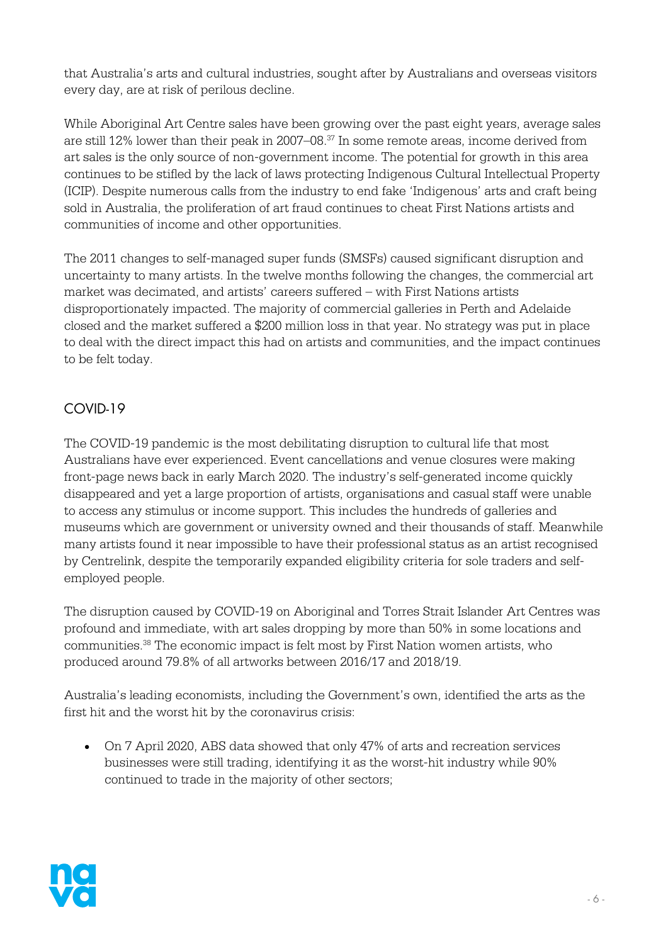that Australia's arts and cultural industries, sought after by Australians and overseas visitors every day, are at risk of perilous decline.

While Aboriginal Art Centre sales have been growing over the past eight years, average sales are still 12% lower than their peak in 2007–08.37 In some remote areas, income derived from art sales is the only source of non-government income. The potential for growth in this area continues to be stifled by the lack of laws protecting Indigenous Cultural Intellectual Property (ICIP). Despite numerous calls from the industry to end fake 'Indigenous' arts and craft being sold in Australia, the proliferation of art fraud continues to cheat First Nations artists and communities of income and other opportunities.

The 2011 changes to self-managed super funds (SMSFs) caused significant disruption and uncertainty to many artists. In the twelve months following the changes, the commercial art market was decimated, and artists' careers suffered – with First Nations artists disproportionately impacted. The majority of commercial galleries in Perth and Adelaide closed and the market suffered a \$200 million loss in that year. No strategy was put in place to deal with the direct impact this had on artists and communities, and the impact continues to be felt today.

# COVID-19

The COVID-19 pandemic is the most debilitating disruption to cultural life that most Australians have ever experienced. Event cancellations and venue closures were making front-page news back in early March 2020. The industry's self-generated income quickly disappeared and yet a large proportion of artists, organisations and casual staff were unable to access any stimulus or income support. This includes the hundreds of galleries and museums which are government or university owned and their thousands of staff. Meanwhile many artists found it near impossible to have their professional status as an artist recognised by Centrelink, despite the temporarily expanded eligibility criteria for sole traders and selfemployed people.

The disruption caused by COVID-19 on Aboriginal and Torres Strait Islander Art Centres was profound and immediate, with art sales dropping by more than 50% in some locations and communities.38 The economic impact is felt most by First Nation women artists, who produced around 79.8% of all artworks between 2016/17 and 2018/19.

Australia's leading economists, including the Government's own, identified the arts as the first hit and the worst hit by the coronavirus crisis:

• On 7 April 2020, ABS data showed that only 47% of arts and recreation services businesses were still trading, identifying it as the worst-hit industry while 90% continued to trade in the majority of other sectors;

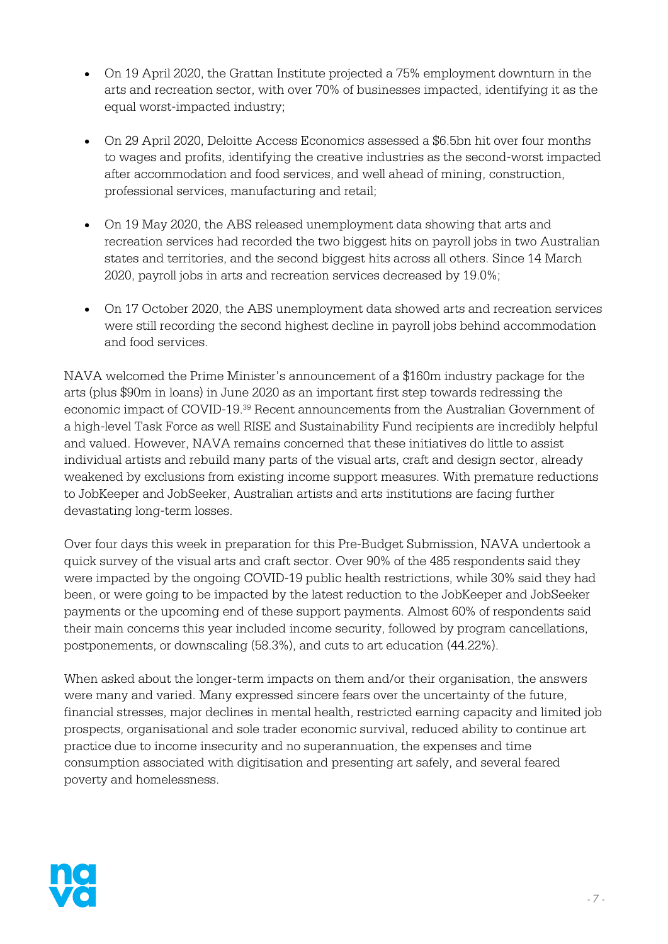- On 19 April 2020, the Grattan Institute projected a 75% employment downturn in the arts and recreation sector, with over 70% of businesses impacted, identifying it as the equal worst-impacted industry;
- On 29 April 2020, Deloitte Access Economics assessed a \$6.5bn hit over four months to wages and profits, identifying the creative industries as the second-worst impacted after accommodation and food services, and well ahead of mining, construction, professional services, manufacturing and retail;
- On 19 May 2020, the ABS released unemployment data showing that arts and recreation services had recorded the two biggest hits on payroll jobs in two Australian states and territories, and the second biggest hits across all others. Since 14 March 2020, payroll jobs in arts and recreation services decreased by 19.0%;
- On 17 October 2020, the ABS unemployment data showed arts and recreation services were still recording the second highest decline in payroll jobs behind accommodation and food services.

NAVA welcomed the Prime Minister's announcement of a \$160m industry package for the arts (plus \$90m in loans) in June 2020 as an important first step towards redressing the economic impact of COVID-19.39 Recent announcements from the Australian Government of a high-level Task Force as well RISE and Sustainability Fund recipients are incredibly helpful and valued. However, NAVA remains concerned that these initiatives do little to assist individual artists and rebuild many parts of the visual arts, craft and design sector, already weakened by exclusions from existing income support measures. With premature reductions to JobKeeper and JobSeeker, Australian artists and arts institutions are facing further devastating long-term losses.

Over four days this week in preparation for this Pre-Budget Submission, NAVA undertook a quick survey of the visual arts and craft sector. Over 90% of the 485 respondents said they were impacted by the ongoing COVID-19 public health restrictions, while 30% said they had been, or were going to be impacted by the latest reduction to the JobKeeper and JobSeeker payments or the upcoming end of these support payments. Almost 60% of respondents said their main concerns this year included income security, followed by program cancellations, postponements, or downscaling (58.3%), and cuts to art education (44.22%).

When asked about the longer-term impacts on them and/or their organisation, the answers were many and varied. Many expressed sincere fears over the uncertainty of the future, financial stresses, major declines in mental health, restricted earning capacity and limited job prospects, organisational and sole trader economic survival, reduced ability to continue art practice due to income insecurity and no superannuation, the expenses and time consumption associated with digitisation and presenting art safely, and several feared poverty and homelessness.

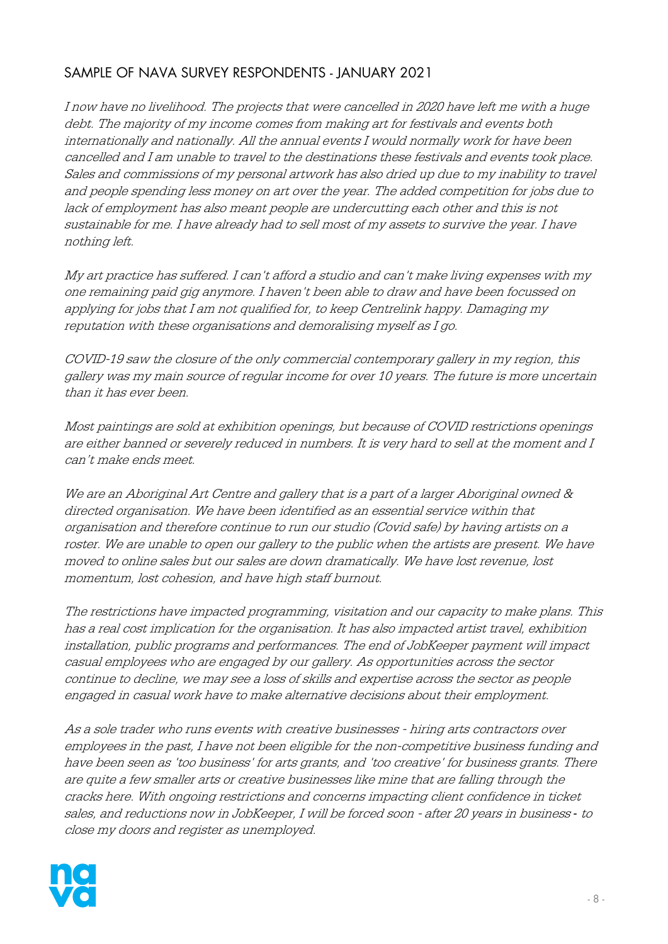# SAMPLE OF NAVA SURVEY RESPONDENTS - JANUARY 2021

I now have no livelihood. The projects that were cancelled in 2020 have left me with a huge debt. The majority of my income comes from making art for festivals and events both internationally and nationally. All the annual events I would normally work for have been cancelled and I am unable to travel to the destinations these festivals and events took place. Sales and commissions of my personal artwork has also dried up due to my inability to travel and people spending less money on art over the year. The added competition for jobs due to lack of employment has also meant people are undercutting each other and this is not sustainable for me. I have already had to sell most of my assets to survive the year. I have nothing left.

My art practice has suffered. I can't afford a studio and can't make living expenses with my one remaining paid gig anymore. I haven't been able to draw and have been focussed on applying for jobs that I am not qualified for, to keep Centrelink happy. Damaging my reputation with these organisations and demoralising myself as I go.

COVID-19 saw the closure of the only commercial contemporary gallery in my region, this gallery was my main source of regular income for over 10 years. The future is more uncertain than it has ever been.

Most paintings are sold at exhibition openings, but because of COVID restrictions openings are either banned or severely reduced in numbers. It is very hard to sell at the moment and I can't make ends meet.

We are an Aboriginal Art Centre and gallery that is a part of a larger Aboriginal owned & directed organisation. We have been identified as an essential service within that organisation and therefore continue to run our studio (Covid safe) by having artists on a roster. We are unable to open our gallery to the public when the artists are present. We have moved to online sales but our sales are down dramatically. We have lost revenue, lost momentum, lost cohesion, and have high staff burnout.

The restrictions have impacted programming, visitation and our capacity to make plans. This has a real cost implication for the organisation. It has also impacted artist travel, exhibition installation, public programs and performances. The end of JobKeeper payment will impact casual employees who are engaged by our gallery. As opportunities across the sector continue to decline, we may see a loss of skills and expertise across the sector as people engaged in casual work have to make alternative decisions about their employment.

As a sole trader who runs events with creative businesses - hiring arts contractors over employees in the past, I have not been eligible for the non-competitive business funding and have been seen as 'too business' for arts grants, and 'too creative' for business grants. There are quite a few smaller arts or creative businesses like mine that are falling through the cracks here. With ongoing restrictions and concerns impacting client confidence in ticket sales, and reductions now in JobKeeper, I will be forced soon - after 20 years in business *-* to close my doors and register as unemployed.

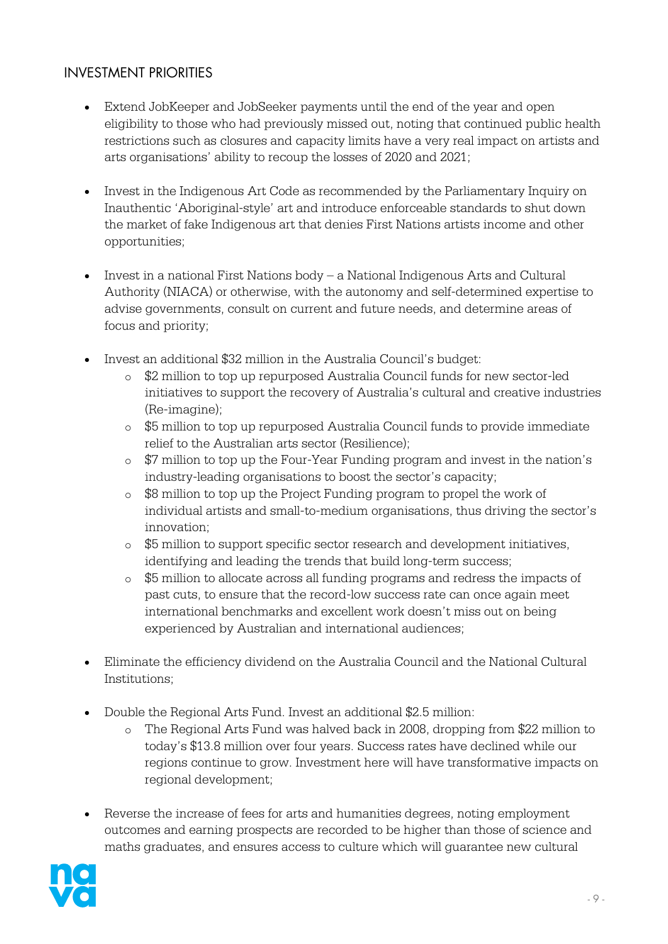## INVESTMENT PRIORITIES

- Extend JobKeeper and JobSeeker payments until the end of the year and open eligibility to those who had previously missed out, noting that continued public health restrictions such as closures and capacity limits have a very real impact on artists and arts organisations' ability to recoup the losses of 2020 and 2021;
- Invest in the Indigenous Art Code as recommended by the Parliamentary Inquiry on Inauthentic 'Aboriginal-style' art and introduce enforceable standards to shut down the market of fake Indigenous art that denies First Nations artists income and other opportunities;
- Invest in a national First Nations body a National Indigenous Arts and Cultural Authority (NIACA) or otherwise, with the autonomy and self-determined expertise to advise governments, consult on current and future needs, and determine areas of focus and priority;
- Invest an additional \$32 million in the Australia Council's budget:
	- o \$2 million to top up repurposed Australia Council funds for new sector-led initiatives to support the recovery of Australia's cultural and creative industries (Re-imagine);
	- o \$5 million to top up repurposed Australia Council funds to provide immediate relief to the Australian arts sector (Resilience);
	- o \$7 million to top up the Four-Year Funding program and invest in the nation's industry-leading organisations to boost the sector's capacity;
	- o \$8 million to top up the Project Funding program to propel the work of individual artists and small-to-medium organisations, thus driving the sector's innovation;
	- o \$5 million to support specific sector research and development initiatives, identifying and leading the trends that build long-term success;
	- o \$5 million to allocate across all funding programs and redress the impacts of past cuts, to ensure that the record-low success rate can once again meet international benchmarks and excellent work doesn't miss out on being experienced by Australian and international audiences;
- Eliminate the efficiency dividend on the Australia Council and the National Cultural Institutions;
- Double the Regional Arts Fund. Invest an additional \$2.5 million:
	- o The Regional Arts Fund was halved back in 2008, dropping from \$22 million to today's \$13.8 million over four years. Success rates have declined while our regions continue to grow. Investment here will have transformative impacts on regional development;
- Reverse the increase of fees for arts and humanities degrees, noting employment outcomes and earning prospects are recorded to be higher than those of science and maths graduates, and ensures access to culture which will guarantee new cultural

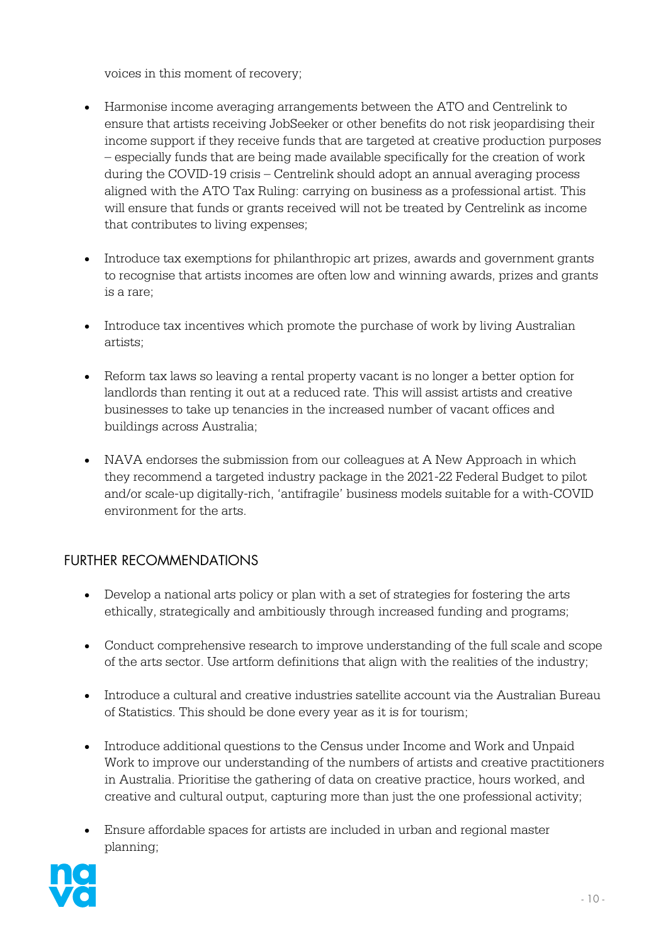voices in this moment of recovery;

- Harmonise income averaging arrangements between the ATO and Centrelink to ensure that artists receiving JobSeeker or other benefits do not risk jeopardising their income support if they receive funds that are targeted at creative production purposes – especially funds that are being made available specifically for the creation of work during the COVID-19 crisis – Centrelink should adopt an annual averaging process aligned with the ATO Tax Ruling: carrying on business as a professional artist. This will ensure that funds or grants received will not be treated by Centrelink as income that contributes to living expenses;
- Introduce tax exemptions for philanthropic art prizes, awards and government grants to recognise that artists incomes are often low and winning awards, prizes and grants is a rare;
- Introduce tax incentives which promote the purchase of work by living Australian artists;
- Reform tax laws so leaving a rental property vacant is no longer a better option for landlords than renting it out at a reduced rate. This will assist artists and creative businesses to take up tenancies in the increased number of vacant offices and buildings across Australia;
- NAVA endorses the submission from our colleagues at A New Approach in which they recommend a targeted industry package in the 2021-22 Federal Budget to pilot and/or scale-up digitally-rich, 'antifragile' business models suitable for a with-COVID environment for the arts.

# FURTHER RECOMMENDATIONS

- Develop a national arts policy or plan with a set of strategies for fostering the arts ethically, strategically and ambitiously through increased funding and programs;
- Conduct comprehensive research to improve understanding of the full scale and scope of the arts sector. Use artform definitions that align with the realities of the industry;
- Introduce a cultural and creative industries satellite account via the Australian Bureau of Statistics. This should be done every year as it is for tourism;
- Introduce additional questions to the Census under Income and Work and Unpaid Work to improve our understanding of the numbers of artists and creative practitioners in Australia. Prioritise the gathering of data on creative practice, hours worked, and creative and cultural output, capturing more than just the one professional activity;
- Ensure affordable spaces for artists are included in urban and regional master planning;

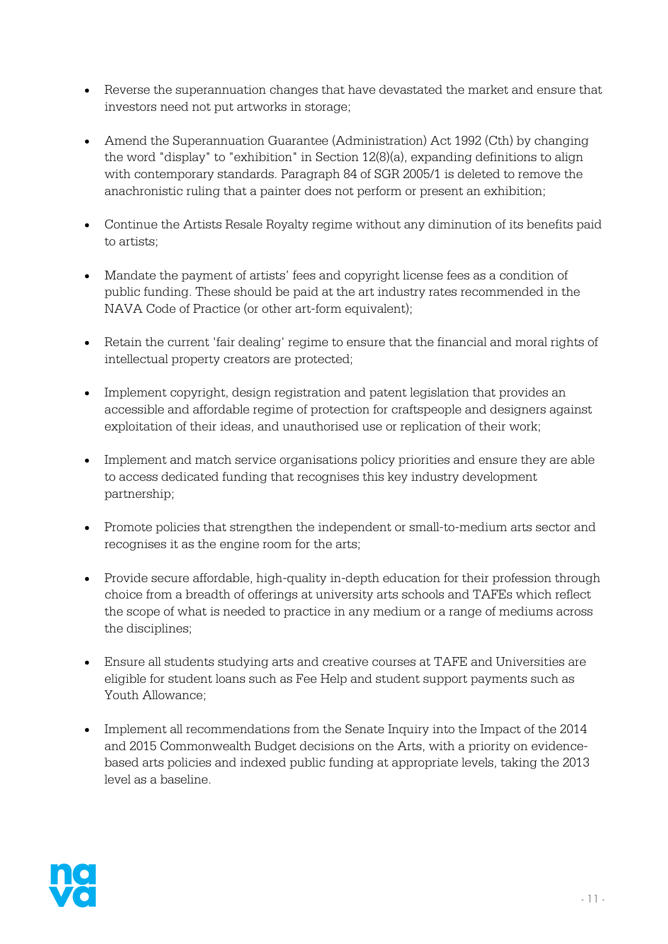- Reverse the superannuation changes that have devastated the market and ensure that investors need not put artworks in storage;
- Amend the Superannuation Guarantee (Administration) Act 1992 (Cth) by changing the word "display" to "exhibition" in Section 12(8)(a), expanding definitions to align with contemporary standards. Paragraph 84 of SGR 2005/1 is deleted to remove the anachronistic ruling that a painter does not perform or present an exhibition;
- Continue the Artists Resale Royalty regime without any diminution of its benefits paid to artists;
- Mandate the payment of artists' fees and copyright license fees as a condition of public funding. These should be paid at the art industry rates recommended in the NAVA Code of Practice (or other art-form equivalent);
- Retain the current 'fair dealing' regime to ensure that the financial and moral rights of intellectual property creators are protected;
- Implement copyright, design registration and patent legislation that provides an accessible and affordable regime of protection for craftspeople and designers against exploitation of their ideas, and unauthorised use or replication of their work;
- Implement and match service organisations policy priorities and ensure they are able to access dedicated funding that recognises this key industry development partnership;
- Promote policies that strengthen the independent or small-to-medium arts sector and recognises it as the engine room for the arts;
- Provide secure affordable, high-quality in-depth education for their profession through choice from a breadth of offerings at university arts schools and TAFEs which reflect the scope of what is needed to practice in any medium or a range of mediums across the disciplines;
- Ensure all students studying arts and creative courses at TAFE and Universities are eligible for student loans such as Fee Help and student support payments such as Youth Allowance;
- Implement all recommendations from the Senate Inquiry into the Impact of the 2014 and 2015 Commonwealth Budget decisions on the Arts, with a priority on evidencebased arts policies and indexed public funding at appropriate levels, taking the 2013 level as a baseline.

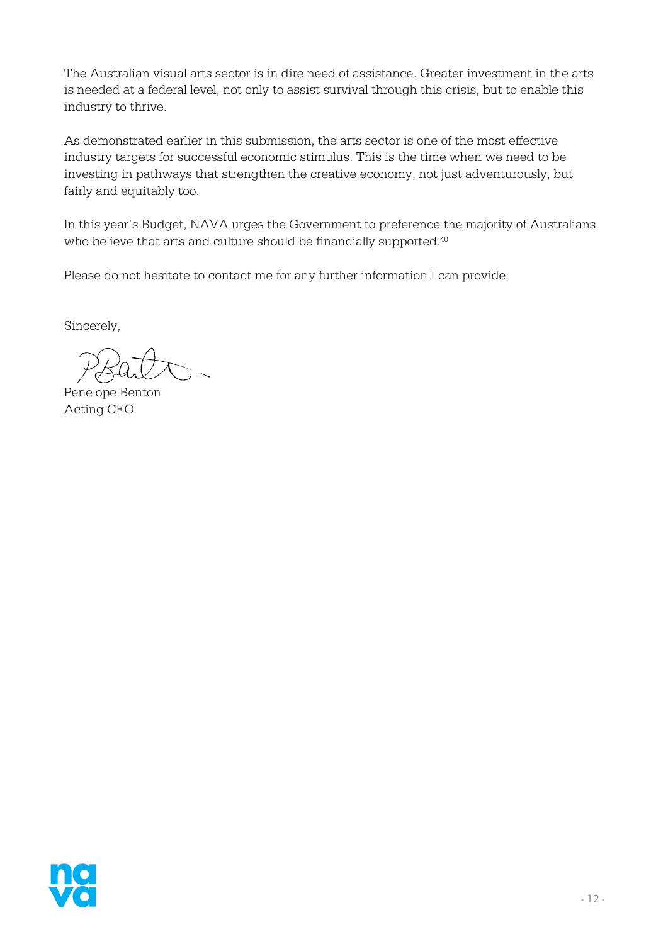The Australian visual arts sector is in dire need of assistance. Greater investment in the arts is needed at a federal level, not only to assist survival through this crisis, but to enable this industry to thrive.

As demonstrated earlier in this submission, the arts sector is one of the most effective industry targets for successful economic stimulus. This is the time when we need to be investing in pathways that strengthen the creative economy, not just adventurously, but fairly and equitably too.

In this year's Budget, NAVA urges the Government to preference the majority of Australians who believe that arts and culture should be financially supported.<sup>40</sup>

Please do not hesitate to contact me for any further information I can provide. 

Sincerely,

Penelope Benton Acting CEO

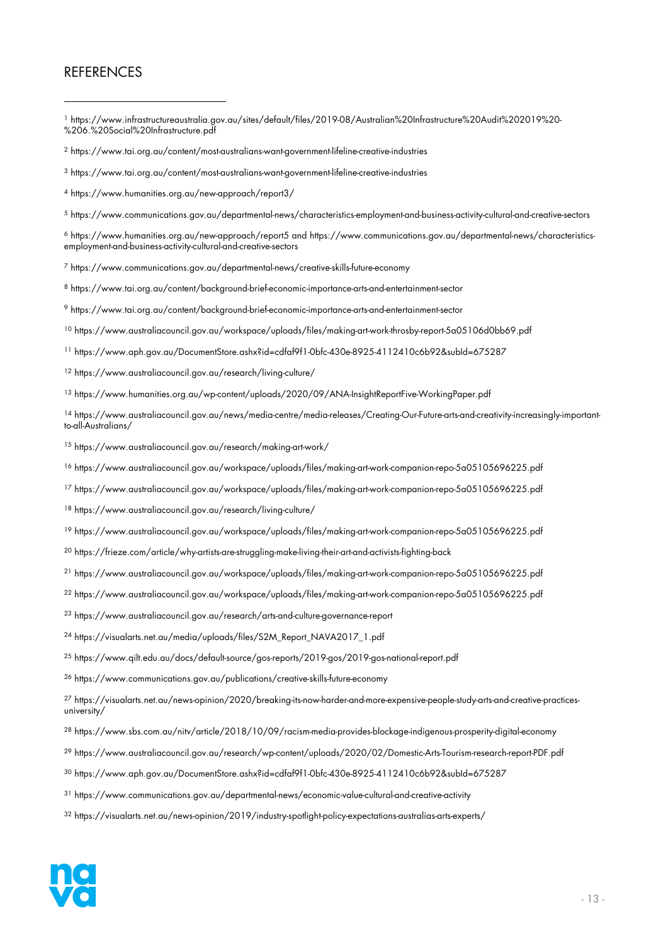#### **REFERENCES**

- https://www.infrastructureaustralia.gov.au/sites/default/files/2019-08/Australian%20Infrastructure%20Audit%202019%20- %206.%20Social%20Infrastructure.pdf
- https://www.tai.org.au/content/most-australians-want-government-lifeline-creative-industries
- https://www.tai.org.au/content/most-australians-want-government-lifeline-creative-industries
- https://www.humanities.org.au/new-approach/report3/
- https://www.communications.gov.au/departmental-news/characteristics-employment-and-business-activity-cultural-and-creative-sectors
- https://www.humanities.org.au/new-approach/report5 and https://www.communications.gov.au/departmental-news/characteristicsemployment-and-business-activity-cultural-and-creative-sectors

https://www.communications.gov.au/departmental-news/creative-skills-future-economy

- https://www.tai.org.au/content/background-brief-economic-importance-arts-and-entertainment-sector
- https://www.tai.org.au/content/background-brief-economic-importance-arts-and-entertainment-sector
- https://www.australiacouncil.gov.au/workspace/uploads/files/making-art-work-throsby-report-5a05106d0bb69.pdf
- https://www.aph.gov.au/DocumentStore.ashx?id=cdfaf9f1-0bfc-430e-8925-4112410c6b92&subId=675287
- https://www.australiacouncil.gov.au/research/living-culture/
- https://www.humanities.org.au/wp-content/uploads/2020/09/ANA-InsightReportFive-WorkingPaper.pdf
- https://www.australiacouncil.gov.au/news/media-centre/media-releases/Creating-Our-Future-arts-and-creativity-increasingly-importantto-all-Australians/

https://www.australiacouncil.gov.au/research/making-art-work/

- https://www.australiacouncil.gov.au/workspace/uploads/files/making-art-work-companion-repo-5a05105696225.pdf
- https://www.australiacouncil.gov.au/workspace/uploads/files/making-art-work-companion-repo-5a05105696225.pdf
- https://www.australiacouncil.gov.au/research/living-culture/
- https://www.australiacouncil.gov.au/workspace/uploads/files/making-art-work-companion-repo-5a05105696225.pdf
- https://frieze.com/article/why-artists-are-struggling-make-living-their-art-and-activists-fighting-back
- https://www.australiacouncil.gov.au/workspace/uploads/files/making-art-work-companion-repo-5a05105696225.pdf
- https://www.australiacouncil.gov.au/workspace/uploads/files/making-art-work-companion-repo-5a05105696225.pdf
- https://www.australiacouncil.gov.au/research/arts-and-culture-governance-report
- <sup>24</sup> https://visualarts.net.au/media/uploads/files/S2M\_Report\_NAVA2017\_1.pdf
- https://www.qilt.edu.au/docs/default-source/gos-reports/2019-gos/2019-gos-national-report.pdf
- https://www.communications.gov.au/publications/creative-skills-future-economy
- https://visualarts.net.au/news-opinion/2020/breaking-its-now-harder-and-more-expensive-people-study-arts-and-creative-practicesuniversity/
- https://www.sbs.com.au/nitv/article/2018/10/09/racism-media-provides-blockage-indigenous-prosperity-digital-economy
- https://www.australiacouncil.gov.au/research/wp-content/uploads/2020/02/Domestic-Arts-Tourism-research-report-PDF.pdf
- https://www.aph.gov.au/DocumentStore.ashx?id=cdfaf9f1-0bfc-430e-8925-4112410c6b92&subId=675287
- https://www.communications.gov.au/departmental-news/economic-value-cultural-and-creative-activity
- https://visualarts.net.au/news-opinion/2019/industry-spotlight-policy-expectations-australias-arts-experts/